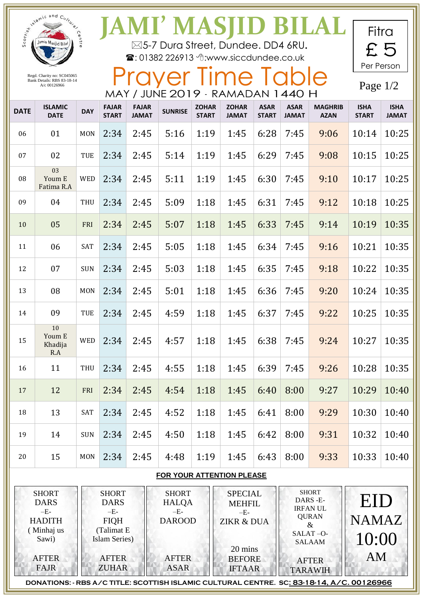|                                                                              | I whamic and Culture           | Centr      | <b>JAMI' MASJID BILAL</b><br>⊠5-7 Dura Street, Dundee. DD4 6RU.<br><b>雪: 01382 226913 个:www.siccdundee.co.uk</b> |                              |                                                        |                              |                                                                   |                             |                                                                                                |                               |                              | Fitra<br>£5                 |  |
|------------------------------------------------------------------------------|--------------------------------|------------|------------------------------------------------------------------------------------------------------------------|------------------------------|--------------------------------------------------------|------------------------------|-------------------------------------------------------------------|-----------------------------|------------------------------------------------------------------------------------------------|-------------------------------|------------------------------|-----------------------------|--|
| Regd. Charity no: SC045065<br>Bank Details: RBS 83-18-14<br>A/c 00126966     |                                |            | MAY / JUNE 2019 - RAMADAN 1440 H                                                                                 |                              |                                                        |                              | Prayer Time Table                                                 |                             |                                                                                                |                               | Per Person<br>Page $1/2$     |                             |  |
| <b>DATE</b>                                                                  | <b>ISLAMIC</b><br><b>DATE</b>  | <b>DAY</b> | <b>FAJAR</b><br><b>START</b>                                                                                     | <b>FAJAR</b><br><b>JAMAT</b> | <b>SUNRISE</b>                                         | <b>ZOHAR</b><br><b>START</b> | <b>ZOHAR</b><br><b>JAMAT</b>                                      | <b>ASAR</b><br><b>START</b> | <b>ASAR</b><br><b>JAMAT</b>                                                                    | <b>MAGHRIB</b><br><b>AZAN</b> | <b>ISHA</b><br><b>START</b>  | <b>ISHA</b><br><b>JAMAT</b> |  |
| 06                                                                           | 01                             | <b>MON</b> | 2:34                                                                                                             | 2:45                         | 5:16                                                   | 1:19                         | 1:45                                                              | 6:28                        | 7:45                                                                                           | 9:06                          | 10:14                        | 10:25                       |  |
| 07                                                                           | 02                             | TUE        | 2:34                                                                                                             | 2:45                         | 5:14                                                   | 1:19                         | 1:45                                                              | 6:29                        | 7:45                                                                                           | 9:08                          | 10:15                        | 10:25                       |  |
| 08                                                                           | 03<br>Youm E<br>Fatima R.A     | <b>WED</b> | 2:34                                                                                                             | 2:45                         | 5:11                                                   | 1:19                         | 1:45                                                              | 6:30                        | 7:45                                                                                           | 9:10                          | 10:17                        | 10:25                       |  |
| 09                                                                           | 04                             | <b>THU</b> | 2:34                                                                                                             | 2:45                         | 5:09                                                   | 1:18                         | 1:45                                                              | 6:31                        | 7:45                                                                                           | 9:12                          | 10:18                        | 10:25                       |  |
| 10                                                                           | 05                             | FRI        | 2:34                                                                                                             | 2:45                         | 5:07                                                   | 1:18                         | 1:45                                                              | 6:33                        | 7:45                                                                                           | 9:14                          | 10:19                        | 10:35                       |  |
| 11                                                                           | 06                             | SAT        | 2:34                                                                                                             | 2:45                         | 5:05                                                   | 1:18                         | 1:45                                                              | 6:34                        | 7:45                                                                                           | 9:16                          | 10:21                        | 10:35                       |  |
| 12                                                                           | 07                             | <b>SUN</b> | 2:34                                                                                                             | 2:45                         | 5:03                                                   | 1:18                         | 1:45                                                              | 6:35                        | 7:45                                                                                           | 9:18                          | 10:22                        | 10:35                       |  |
| 13                                                                           | 08                             | <b>MON</b> | 2:34                                                                                                             | 2:45                         | 5:01                                                   | 1:18                         | 1:45                                                              | 6:36                        | 7:45                                                                                           | 9:20                          | 10:24                        | 10:35                       |  |
| 14                                                                           | 09                             | TUE        | 2:34                                                                                                             | 2:45                         | 4:59                                                   | 1:18                         | 1:45                                                              | 6:37                        | 7:45                                                                                           | 9:22                          | 10:25                        | 10:35                       |  |
| 15                                                                           | 10<br>Youm E<br>Khadija<br>R.A | <b>WED</b> | 2:34                                                                                                             | 2:45                         | 4:57                                                   | 1:18                         | 1:45                                                              | 6:38                        | 7:45                                                                                           | 9:24                          | 10:27                        | 10:35                       |  |
| 16                                                                           | 11                             | THU        | 2:34                                                                                                             | 2:45                         | 4:55                                                   | 1:18                         | 1:45                                                              | 6:39                        | 7:45                                                                                           | 9:26                          | 10:28                        | 10:35                       |  |
| 17                                                                           | 12                             | FRI        | 2:34                                                                                                             | 2:45                         | 4:54                                                   | 1:18                         | 1:45                                                              | 6:40                        | 8:00                                                                                           | 9:27                          | 10:29                        | 10:40                       |  |
| 18                                                                           | 13                             | SAT        | 2:34                                                                                                             | 2:45                         | 4:52                                                   | 1:18                         | 1:45                                                              | 6:41                        | 8:00                                                                                           | 9:29                          | 10:30                        | 10:40                       |  |
| 19                                                                           | 14                             | <b>SUN</b> | 2:34                                                                                                             | 2:45                         | 4:50                                                   | 1:18                         | 1:45                                                              | 6:42                        | 8:00                                                                                           | 9:31                          | 10:32                        | 10:40                       |  |
| 20                                                                           | 15                             | <b>MON</b> | 2:34                                                                                                             | 2:45                         | 4:48                                                   | 1:19                         | 1:45                                                              | 6:43                        | 8:00                                                                                           | 9:33                          | 10:33                        | 10:40                       |  |
| FOR YOUR ATTENTION PLEASE                                                    |                                |            |                                                                                                                  |                              |                                                        |                              |                                                                   |                             |                                                                                                |                               |                              |                             |  |
| <b>SHORT</b><br><b>DARS</b><br>$-E-$<br><b>HADITH</b><br>(Minhaj us<br>Sawi) |                                |            | <b>SHORT</b><br><b>DARS</b><br>$-E-$<br><b>FIQH</b><br>(Talimat E<br>Islam Series)                               |                              | <b>SHORT</b><br><b>HALQA</b><br>$-E-$<br><b>DAROOD</b> |                              | <b>SPECIAL</b><br><b>MEHFIL</b><br>$-E-$<br><b>ZIKR &amp; DUA</b> |                             | <b>SHORT</b><br>DARS-E-<br><b>IRFANUL</b><br><b>QURAN</b><br>$\&$<br>SALAT-O-<br><b>SALAAM</b> |                               | EID<br><b>NAMAZ</b><br>10:00 |                             |  |
| <b>AFTER</b><br><b>FAJR</b>                                                  |                                |            | <b>AFTER</b><br><b>ZUHAR</b>                                                                                     |                              | <b>AFTER</b><br><b>ASAR</b>                            |                              | 20 mins<br><b>BEFORE</b><br><b>IFTAAR</b>                         |                             | <b>AFTER</b><br><b>TARAWIH</b>                                                                 |                               | <b>AM</b>                    |                             |  |

**DONATIONS: - RBS A/C TITLE: SCOTTISH ISLAMIC CULTURAL CENTRE. SC: 83-18-14, A/C. 00126966**